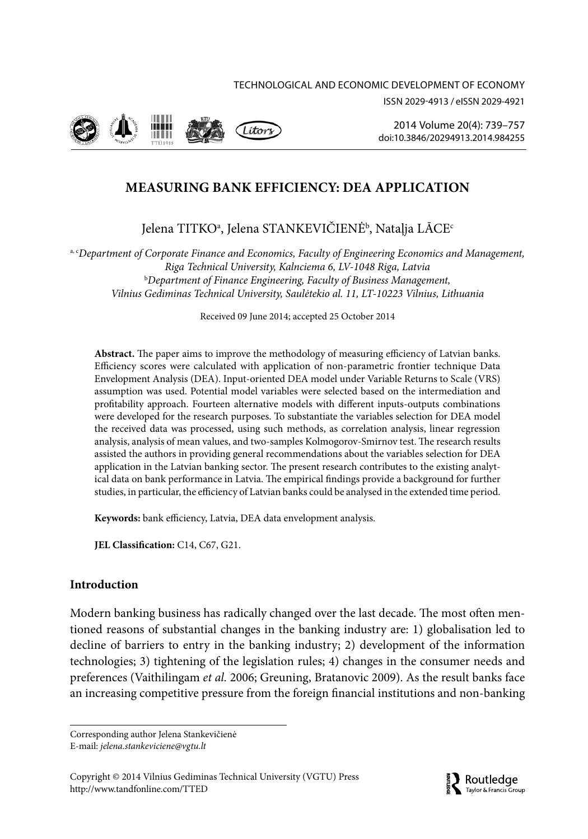



2014 Volume 20(4): 739–757 [doi:10.3846/20294913.2014.984255](http://dx.doi.org/10.3846/20294913.2014.984255)

# **Measuring bank efficiency: dea application**

Jelena TITKOª, Jelena STANKEVIČIENĖ<sup>b</sup>, Nataļja LĀCE<sup>c</sup>

a, c*Department of Corporate Finance and Economics, Faculty of Engineering Economics and Management, Riga Technical University, Kalnciema 6, LV-1048 Riga, Latvia* b *Department of Finance Engineering, Faculty of Business Management, Vilnius Gediminas Technical University, Saulėtekio al. 11, LT-10223 Vilnius, Lithuania*

Received 09 June 2014; accepted 25 October 2014

**Abstract.** The paper aims to improve the methodology of measuring efficiency of Latvian banks. Efficiency scores were calculated with application of non-parametric frontier technique Data Envelopment Analysis (DEA). Input-oriented DEA model under Variable Returns to Scale (VRS) assumption was used. Potential model variables were selected based on the intermediation and profitability approach. Fourteen alternative models with different inputs-outputs combinations were developed for the research purposes. To substantiate the variables selection for DEA model the received data was processed, using such methods, as correlation analysis, linear regression analysis, analysis of mean values, and two-samples Kolmogorov-Smirnov test. The research results assisted the authors in providing general recommendations about the variables selection for DEA application in the Latvian banking sector. The present research contributes to the existing analytical data on bank performance in Latvia. The empirical findings provide a background for further studies, in particular, the efficiency of Latvian banks could be analysed in the extended time period.

**Keywords:** bank efficiency, Latvia, DEA data envelopment analysis.

**JEL Classification:** C14, C67, G21.

## **Introduction**

Modern banking business has radically changed over the last decade. The most often mentioned reasons of substantial changes in the banking industry are: 1) globalisation led to decline of barriers to entry in the banking industry; 2) development of the information technologies; 3) tightening of the legislation rules; 4) changes in the consumer needs and preferences (Vaithilingam *et al.* 2006; Greuning, Bratanovic 2009). As the result banks face an increasing competitive pressure from the foreign financial institutions and non-banking

Corresponding author Jelena Stankevičienė E-mail: *jelena.stankeviciene@vgtu.lt*

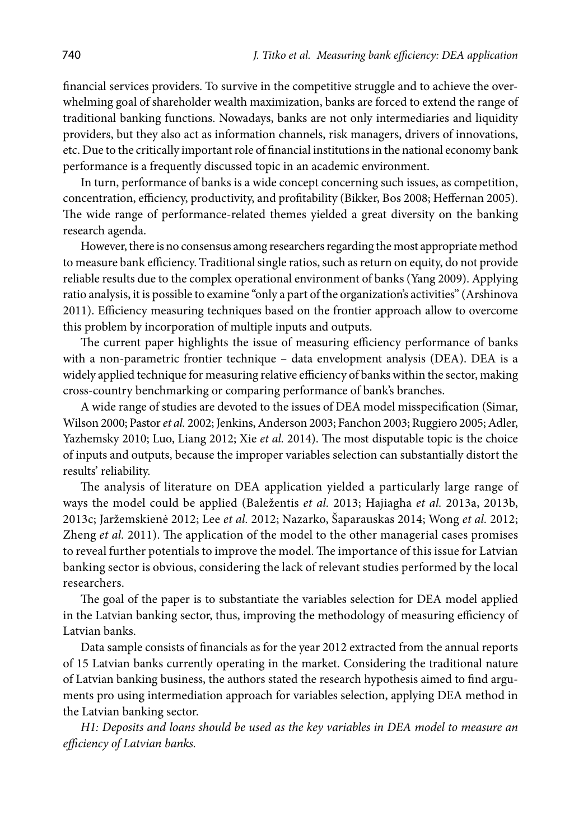financial services providers. To survive in the competitive struggle and to achieve the overwhelming goal of shareholder wealth maximization, banks are forced to extend the range of traditional banking functions. Nowadays, banks are not only intermediaries and liquidity providers, but they also act as information channels, risk managers, drivers of innovations, etc. Due to the critically important role of financial institutions in the national economy bank performance is a frequently discussed topic in an academic environment.

In turn, performance of banks is a wide concept concerning such issues, as competition, concentration, efficiency, productivity, and profitability (Bikker, Bos 2008; Heffernan 2005). The wide range of performance-related themes yielded a great diversity on the banking research agenda.

However, there is no consensus among researchers regarding the most appropriate method to measure bank efficiency. Traditional single ratios, such as return on equity, do not provide reliable results due to the complex operational environment of banks (Yang 2009). Applying ratio analysis, it is possible to examine "only a part of the organization's activities" (Arshinova 2011). Efficiency measuring techniques based on the frontier approach allow to overcome this problem by incorporation of multiple inputs and outputs.

The current paper highlights the issue of measuring efficiency performance of banks with a non-parametric frontier technique – data envelopment analysis (DEA). DEA is a widely applied technique for measuring relative efficiency of banks within the sector, making cross-country benchmarking or comparing performance of bank's branches.

A wide range of studies are devoted to the issues of DEA model misspecification (Simar, Wilson 2000; Pastor *et al.* 2002; Jenkins, Anderson 2003; Fanchon 2003; Ruggiero 2005; Adler, Yazhemsky 2010; Luo, Liang 2012; Xie *et al.* 2014). The most disputable topic is the choice of inputs and outputs, because the improper variables selection can substantially distort the results' reliability.

The analysis of literature on DEA application yielded a particularly large range of ways the model could be applied (Baležentis *et al.* 2013; Hajiagha *et al.* 2013a, 2013b, 2013c; Jaržemskienė 2012; Lee *et al.* 2012; Nazarko, Šaparauskas 2014; Wong *et al.* 2012; Zheng *et al.* 2011). The application of the model to the other managerial cases promises to reveal further potentials to improve the model. The importance of this issue for Latvian banking sector is obvious, considering the lack of relevant studies performed by the local researchers.

The goal of the paper is to substantiate the variables selection for DEA model applied in the Latvian banking sector, thus, improving the methodology of measuring efficiency of Latvian banks.

Data sample consists of financials as for the year 2012 extracted from the annual reports of 15 Latvian banks currently operating in the market. Considering the traditional nature of Latvian banking business, the authors stated the research hypothesis aimed to find arguments pro using intermediation approach for variables selection, applying DEA method in the Latvian banking sector.

*H1: Deposits and loans should be used as the key variables in DEA model to measure an efficiency of Latvian banks.*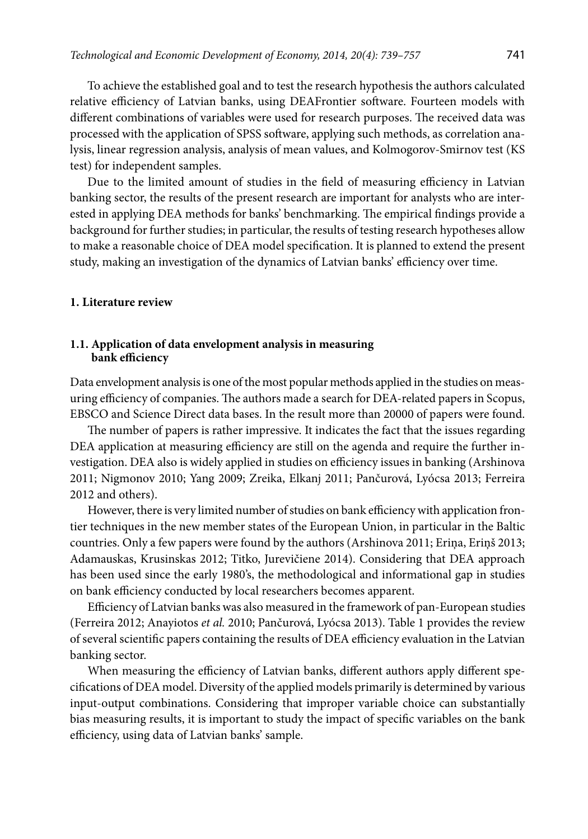To achieve the established goal and to test the research hypothesis the authors calculated relative efficiency of Latvian banks, using DEAFrontier software. Fourteen models with different combinations of variables were used for research purposes. The received data was processed with the application of SPSS software, applying such methods, as correlation analysis, linear regression analysis, analysis of mean values, and Kolmogorov-Smirnov test (KS test) for independent samples.

Due to the limited amount of studies in the field of measuring efficiency in Latvian banking sector, the results of the present research are important for analysts who are interested in applying DEA methods for banks' benchmarking. The empirical findings provide a background for further studies; in particular, the results of testing research hypotheses allow to make a reasonable choice of DEA model specification. It is planned to extend the present study, making an investigation of the dynamics of Latvian banks' efficiency over time.

#### **1. Literature review**

## **1.1. Application of data envelopment analysis in measuring bank efficiency**

Data envelopment analysis is one of the most popular methods applied in the studies on measuring efficiency of companies. The authors made a search for DEA-related papers in Scopus, EBSCO and Science Direct data bases. In the result more than 20000 of papers were found.

The number of papers is rather impressive. It indicates the fact that the issues regarding DEA application at measuring efficiency are still on the agenda and require the further investigation. DEA also is widely applied in studies on efficiency issues in banking (Arshinova 2011; Nigmonov 2010; Yang 2009; Zreika, Elkanj 2011; Pančurová, Lyócsa 2013; Ferreira 2012 and others).

However, there is very limited number of studies on bank efficiency with application frontier techniques in the new member states of the European Union, in particular in the Baltic countries. Only a few papers were found by the authors (Arshinova 2011; Eriņa, Eriņš 2013; Adamauskas, Krusinskas 2012; Titko, Jurevičiene 2014). Considering that DEA approach has been used since the early 1980's, the methodological and informational gap in studies on bank efficiency conducted by local researchers becomes apparent.

Efficiency of Latvian banks was also measured in the framework of pan-European studies (Ferreira 2012; Anayiotos *et al.* 2010; Pančurová, Lyócsa 2013). Table 1 provides the review of several scientific papers containing the results of DEA efficiency evaluation in the Latvian banking sector.

When measuring the efficiency of Latvian banks, different authors apply different specifications of DEA model. Diversity of the applied models primarily is determined by various input-output combinations. Considering that improper variable choice can substantially bias measuring results, it is important to study the impact of specific variables on the bank efficiency, using data of Latvian banks' sample.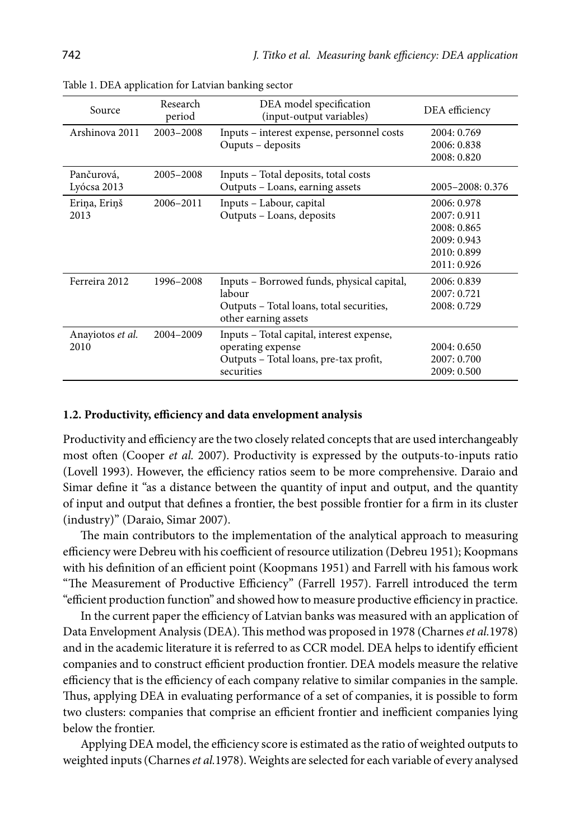| Source           | Research<br>period | DEA model specification<br>(input-output variables) | DEA efficiency   |
|------------------|--------------------|-----------------------------------------------------|------------------|
| Arshinova 2011   | 2003-2008          | Inputs - interest expense, personnel costs          | 2004: 0.769      |
|                  |                    | Ouputs – deposits                                   | 2006: 0.838      |
|                  |                    |                                                     | 2008: 0.820      |
| Pančurová,       | 2005-2008          | Inputs – Total deposits, total costs                |                  |
| Lyócsa 2013      |                    | Outputs – Loans, earning assets                     | 2005-2008: 0.376 |
| Eriņa, Eriņš     | 2006-2011          | Inputs – Labour, capital                            | 2006: 0.978      |
| 2013             |                    | Outputs – Loans, deposits                           | 2007: 0.911      |
|                  |                    |                                                     | 2008: 0.865      |
|                  |                    |                                                     | 2009: 0.943      |
|                  |                    |                                                     | 2010: 0.899      |
|                  |                    |                                                     | 2011: 0.926      |
| Ferreira 2012    | 1996-2008          | Inputs – Borrowed funds, physical capital,          | 2006: 0.839      |
|                  |                    | labour                                              | 2007: 0.721      |
|                  |                    | Outputs – Total loans, total securities,            | 2008: 0.729      |
|                  |                    | other earning assets                                |                  |
| Anayiotos et al. | 2004-2009          | Inputs - Total capital, interest expense,           |                  |
| 2010             |                    | operating expense                                   | 2004: 0.650      |
|                  |                    | Outputs - Total loans, pre-tax profit,              | 2007: 0.700      |
|                  |                    | securities                                          | 2009: 0.500      |

Table 1. DEA application for Latvian banking sector

#### **1.2. Productivity, efficiency and data envelopment analysis**

Productivity and efficiency are the two closely related concepts that are used interchangeably most often (Cooper *et al.* 2007). Productivity is expressed by the outputs-to-inputs ratio (Lovell 1993). However, the efficiency ratios seem to be more comprehensive. Daraio and Simar define it "as a distance between the quantity of input and output, and the quantity of input and output that defines a frontier, the best possible frontier for a firm in its cluster (industry)" (Daraio, Simar 2007).

The main contributors to the implementation of the analytical approach to measuring efficiency were Debreu with his coefficient of resource utilization (Debreu 1951); Koopmans with his definition of an efficient point (Koopmans 1951) and Farrell with his famous work "The Measurement of Productive Efficiency" (Farrell 1957). Farrell introduced the term "efficient production function" and showed how to measure productive efficiency in practice.

In the current paper the efficiency of Latvian banks was measured with an application of Data Envelopment Analysis (DEA). This method was proposed in 1978 (Charnes *et al.*1978) and in the academic literature it is referred to as CCR model. DEA helps to identify efficient companies and to construct efficient production frontier. DEA models measure the relative efficiency that is the efficiency of each company relative to similar companies in the sample. Thus, applying DEA in evaluating performance of a set of companies, it is possible to form two clusters: companies that comprise an efficient frontier and inefficient companies lying below the frontier.

Applying DEA model, the efficiency score is estimated as the ratio of weighted outputs to weighted inputs (Charnes *et al.*1978). Weights are selected for each variable of every analysed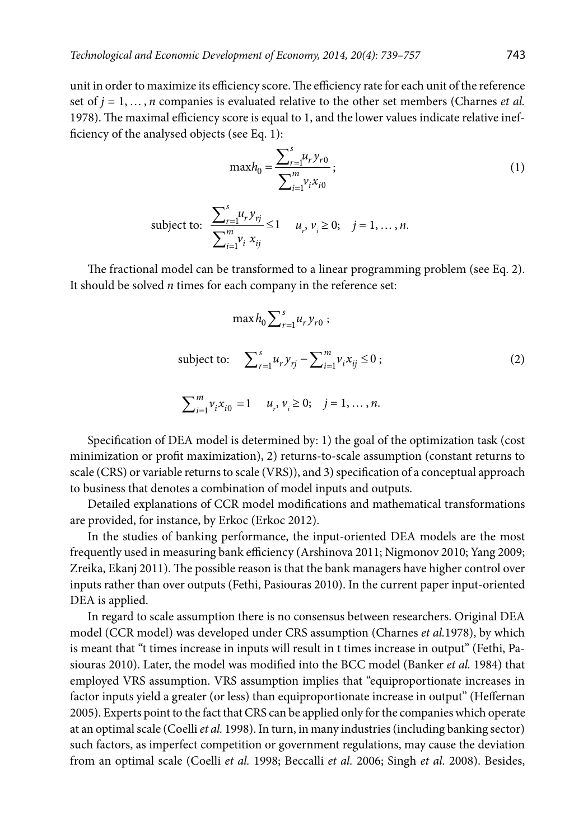unit in order to maximize its efficiency score. The efficiency rate for each unit of the reference set of *j* = 1, … , *n* companies is evaluated relative to the other set members (Charnes *et al.* 1978). The maximal efficiency score is equal to 1, and the lower values indicate relative inefficiency of the analysed objects (see Eq. 1):

$$
\text{max} h_0 = \frac{\sum_{r=1}^s u_r y_{r0}}{\sum_{i=1}^m v_i x_{i0}}; \tag{1}
$$

subject to: 
$$
\frac{\sum_{r=1}^{s} u_r y_{rj}}{\sum_{i=1}^{m} v_i x_{ij}} \le 1 \quad u_r, v_i \ge 0; \quad j = 1, ..., n.
$$

The fractional model can be transformed to a linear programming problem (see Eq. 2). It should be solved *n* times for each company in the reference set:

$$
\max h_0 \sum_{r=1}^s u_r y_{r0} ;
$$
  
subject to: 
$$
\sum_{r=1}^s u_r y_{rj} - \sum_{i=1}^m v_i x_{ij} \le 0 ;
$$

$$
\sum_{i=1}^m v_i x_{i0} = 1 \quad u_r, v_i \ge 0; \quad j = 1, ..., n.
$$
 (2)

Specification of DEA model is determined by: 1) the goal of the optimization task (cost minimization or profit maximization), 2) returns-to-scale assumption (constant returns to scale (CRS) or variable returns to scale (VRS)), and 3) specification of a conceptual approach to business that denotes a combination of model inputs and outputs.

Detailed explanations of CCR model modifications and mathematical transformations are provided, for instance, by Erkoc (Erkoc 2012).

In the studies of banking performance, the input-oriented DEA models are the most frequently used in measuring bank efficiency (Arshinova 2011; Nigmonov 2010; Yang 2009; Zreika, Ekanj 2011). The possible reason is that the bank managers have higher control over inputs rather than over outputs (Fethi, Pasiouras 2010). In the current paper input-oriented DEA is applied.

In regard to scale assumption there is no consensus between researchers. Original DEA model (CCR model) was developed under CRS assumption (Charnes *et al.*1978), by which is meant that "t times increase in inputs will result in t times increase in output" (Fethi, Pasiouras 2010). Later, the model was modified into the BCC model (Banker *et al.* 1984) that employed VRS assumption. VRS assumption implies that "equiproportionate increases in factor inputs yield a greater (or less) than equiproportionate increase in output" (Heffernan 2005). Experts point to the fact that CRS can be applied only for the companies which operate at an optimal scale (Coelli *et al.* 1998). In turn, in many industries (including banking sector) such factors, as imperfect competition or government regulations, may cause the deviation from an optimal scale (Coelli *et al.* 1998; Beccalli *et al.* 2006; Singh *et al.* 2008). Besides,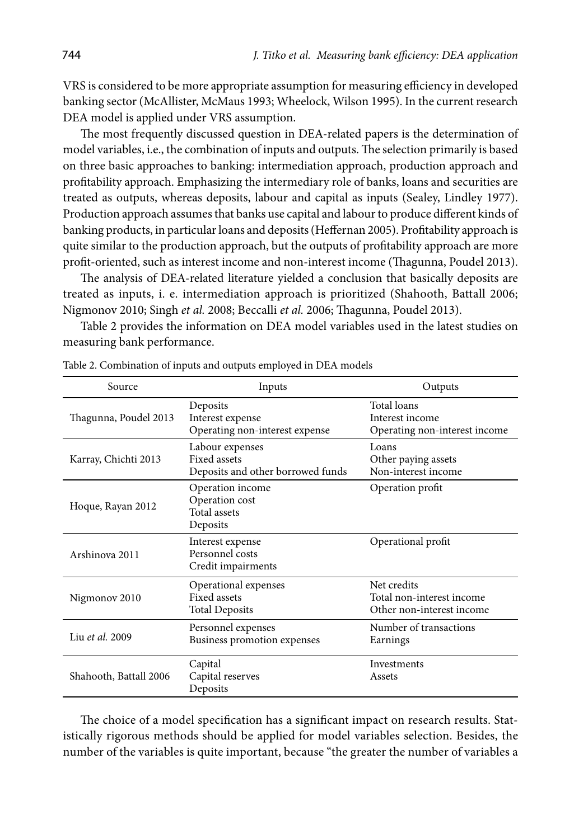VRS is considered to be more appropriate assumption for measuring efficiency in developed banking sector (McAllister, McMaus 1993; Wheelock, Wilson 1995). In the current research DEA model is applied under VRS assumption.

The most frequently discussed question in DEA-related papers is the determination of model variables, i.e., the combination of inputs and outputs. The selection primarily is based on three basic approaches to banking: intermediation approach, production approach and profitability approach. Emphasizing the intermediary role of banks, loans and securities are treated as outputs, whereas deposits, labour and capital as inputs (Sealey, Lindley 1977). Production approach assumes that banks use capital and labour to produce different kinds of banking products, in particular loans and deposits (Heffernan 2005). Profitability approach is quite similar to the production approach, but the outputs of profitability approach are more profit-oriented, such as interest income and non-interest income (Thagunna, Poudel 2013).

The analysis of DEA-related literature yielded a conclusion that basically deposits are treated as inputs, i. e. intermediation approach is prioritized (Shahooth, Battall 2006; Nigmonov 2010; Singh *et al.* 2008; Beccalli *et al.* 2006; Thagunna, Poudel 2013).

Table 2 provides the information on DEA model variables used in the latest studies on measuring bank performance.

| Source                 | Inputs                                                               | Outputs                                                               |
|------------------------|----------------------------------------------------------------------|-----------------------------------------------------------------------|
| Thagunna, Poudel 2013  | Deposits<br>Interest expense<br>Operating non-interest expense       | Total loans<br>Interest income<br>Operating non-interest income       |
| Karray, Chichti 2013   | Labour expenses<br>Fixed assets<br>Deposits and other borrowed funds | Loans<br>Other paying assets<br>Non-interest income                   |
| Hoque, Rayan 2012      | Operation income<br>Operation cost<br>Total assets<br>Deposits       | Operation profit                                                      |
| Arshinova 2011         | Interest expense<br>Personnel costs<br>Credit impairments            | Operational profit                                                    |
| Nigmonov 2010          | Operational expenses<br>Fixed assets<br>Total Deposits               | Net credits<br>Total non-interest income<br>Other non-interest income |
| Liu et al. 2009        | Personnel expenses<br>Business promotion expenses                    | Number of transactions<br>Earnings                                    |
| Shahooth, Battall 2006 | Capital<br>Capital reserves<br>Deposits                              | Investments<br>Assets                                                 |

Table 2. Combination of inputs and outputs employed in DEA models

The choice of a model specification has a significant impact on research results. Statistically rigorous methods should be applied for model variables selection. Besides, the number of the variables is quite important, because "the greater the number of variables a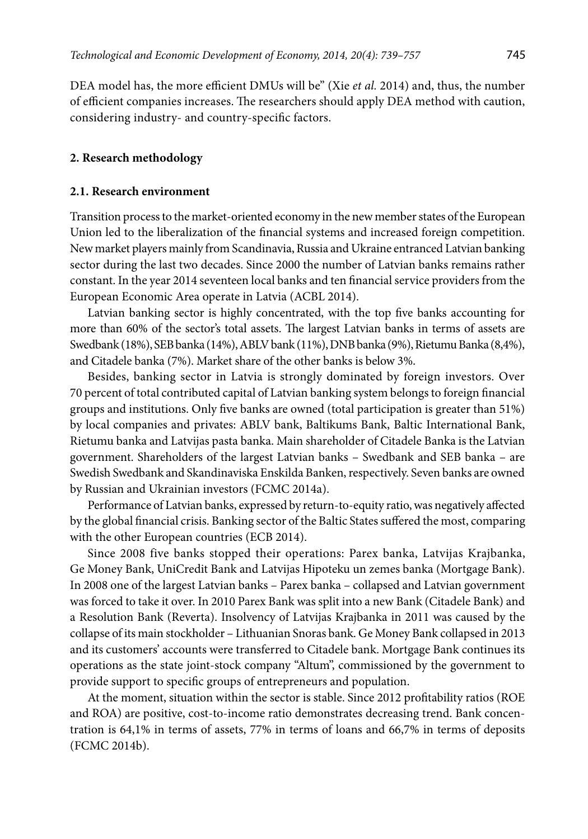DEA model has, the more efficient DMUs will be" (Xie *et al.* 2014) and, thus, the number of efficient companies increases. The researchers should apply DEA method with caution, considering industry- and country-specific factors.

## **2. Research methodology**

#### **2.1. Research environment**

Transition process to the market-oriented economy in the new member states of the European Union led to the liberalization of the financial systems and increased foreign competition. New market players mainly from Scandinavia, Russia and Ukraine entranced Latvian banking sector during the last two decades. Since 2000 the number of Latvian banks remains rather constant. In the year 2014 seventeen local banks and ten financial service providers from the European Economic Area operate in Latvia (ACBL 2014).

Latvian banking sector is highly concentrated, with the top five banks accounting for more than 60% of the sector's total assets. The largest Latvian banks in terms of assets are Swedbank (18%), SEB banka (14%), ABLV bank (11%), DNB banka (9%), Rietumu Banka (8,4%), and Citadele banka (7%). Market share of the other banks is below 3%.

Besides, banking sector in Latvia is strongly dominated by foreign investors. Over 70 percent of total contributed capital of Latvian banking system belongs to foreign financial groups and institutions. Only five banks are owned (total participation is greater than 51%) by local companies and privates: ABLV bank, Baltikums Bank, Baltic International Bank, Rietumu banka and Latvijas pasta banka. Main shareholder of Citadele Banka is the Latvian government. Shareholders of the largest Latvian banks – Swedbank and SEB banka – are Swedish Swedbank and Skandinaviska Enskilda Banken, respectively. Seven banks are owned by Russian and Ukrainian investors (FCMC 2014a).

Performance of Latvian banks, expressed by return-to-equity ratio, was negatively affected by the global financial crisis. Banking sector of the Baltic States suffered the most, comparing with the other European countries (ECB 2014).

Since 2008 five banks stopped their operations: Parex banka, Latvijas Krajbanka, Ge Money Bank, UniCredit Bank and Latvijas Hipoteku un zemes banka (Mortgage Bank). In 2008 one of the largest Latvian banks – Parex banka – collapsed and Latvian government was forced to take it over. In 2010 Parex Bank was split into a new Bank (Citadele Bank) and a Resolution Bank (Reverta). Insolvency of Latvijas Krajbanka in 2011 was caused by the collapse of its main stockholder – Lithuanian Snoras bank. Ge Money Bank collapsed in 2013 and its customers' accounts were transferred to Citadele bank. Mortgage Bank continues its operations as the state joint-stock company "Altum", commissioned by the government to provide support to specific groups of entrepreneurs and population.

At the moment, situation within the sector is stable. Since 2012 profitability ratios (ROE and ROA) are positive, cost-to-income ratio demonstrates decreasing trend. Bank concentration is 64,1% in terms of assets, 77% in terms of loans and 66,7% in terms of deposits (FCMC 2014b).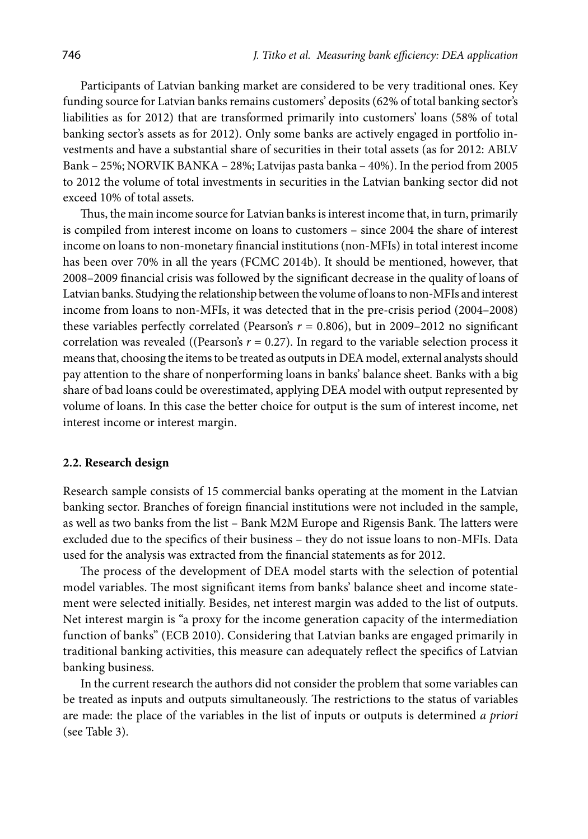Participants of Latvian banking market are considered to be very traditional ones. Key funding source for Latvian banks remains customers' deposits (62% of total banking sector's liabilities as for 2012) that are transformed primarily into customers' loans (58% of total banking sector's assets as for 2012). Only some banks are actively engaged in portfolio investments and have a substantial share of securities in their total assets (as for 2012: ABLV Bank – 25%; NORVIK BANKA – 28%; Latvijas pasta banka – 40%). In the period from 2005 to 2012 the volume of total investments in securities in the Latvian banking sector did not exceed 10% of total assets.

Thus, the main income source for Latvian banks is interest income that, in turn, primarily is compiled from interest income on loans to customers – since 2004 the share of interest income on loans to non-monetary financial institutions (non-MFIs) in total interest income has been over 70% in all the years (FCMC 2014b). It should be mentioned, however, that 2008–2009 financial crisis was followed by the significant decrease in the quality of loans of Latvian banks. Studying the relationship between the volume of loans to non-MFIs and interest income from loans to non-MFIs, it was detected that in the pre-crisis period (2004–2008) these variables perfectly correlated (Pearson's  $r = 0.806$ ), but in 2009–2012 no significant correlation was revealed ((Pearson's  $r = 0.27$ ). In regard to the variable selection process it means that, choosing the items to be treated as outputs in DEA model, external analysts should pay attention to the share of nonperforming loans in banks' balance sheet. Banks with a big share of bad loans could be overestimated, applying DEA model with output represented by volume of loans. In this case the better choice for output is the sum of interest income, net interest income or interest margin.

## **2.2. Research design**

Research sample consists of 15 commercial banks operating at the moment in the Latvian banking sector. Branches of foreign financial institutions were not included in the sample, as well as two banks from the list – Bank M2M Europe and Rigensis Bank. The latters were excluded due to the specifics of their business – they do not issue loans to non-MFIs. Data used for the analysis was extracted from the financial statements as for 2012.

The process of the development of DEA model starts with the selection of potential model variables. The most significant items from banks' balance sheet and income statement were selected initially. Besides, net interest margin was added to the list of outputs. Net interest margin is "a proxy for the income generation capacity of the intermediation function of banks" (ECB 2010). Considering that Latvian banks are engaged primarily in traditional banking activities, this measure can adequately reflect the specifics of Latvian banking business.

In the current research the authors did not consider the problem that some variables can be treated as inputs and outputs simultaneously. The restrictions to the status of variables are made: the place of the variables in the list of inputs or outputs is determined *a priori* (see Table 3).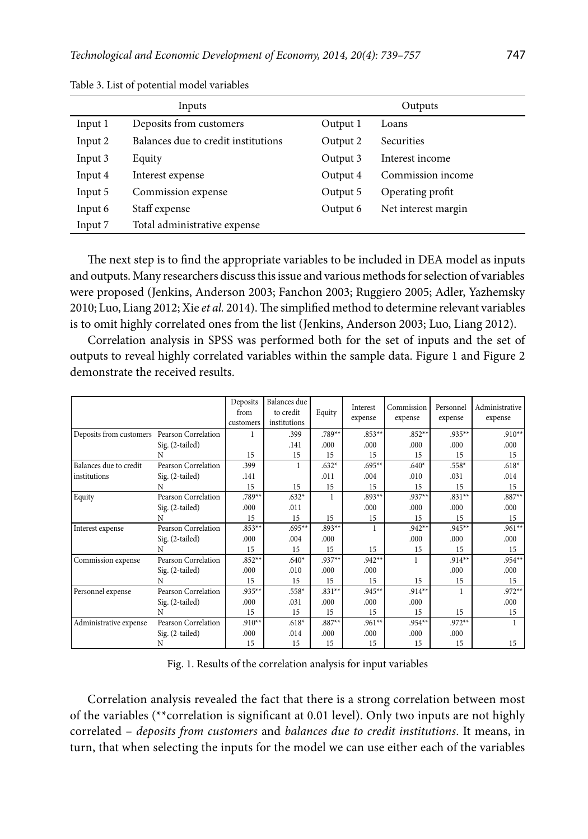|         | Inputs                              |          | Outputs             |
|---------|-------------------------------------|----------|---------------------|
| Input 1 | Deposits from customers             | Output 1 | Loans               |
| Input 2 | Balances due to credit institutions | Output 2 | Securities          |
| Input 3 | Equity                              | Output 3 | Interest income     |
| Input 4 | Interest expense                    | Output 4 | Commission income   |
| Input 5 | Commission expense                  | Output 5 | Operating profit    |
| Input 6 | Staff expense                       | Output 6 | Net interest margin |
| Input 7 | Total administrative expense        |          |                     |

Table 3. List of potential model variables

The next step is to find the appropriate variables to be included in DEA model as inputs and outputs. Many researchers discuss this issue and various methods for selection of variables were proposed (Jenkins, Anderson 2003; Fanchon 2003; Ruggiero 2005; Adler, Yazhemsky 2010; Luo, Liang 2012; Xie *et al.* 2014). The simplified method to determine relevant variables is to omit highly correlated ones from the list (Jenkins, Anderson 2003; Luo, Liang 2012).

Correlation analysis in SPSS was performed both for the set of inputs and the set of outputs to reveal highly correlated variables within the sample data. Figure 1 and Figure 2 demonstrate the received results.

|                                             |                     | Deposits<br>from | Balances due<br>to credit | Equity   | Interest | Commission | Personnel | Administrative |
|---------------------------------------------|---------------------|------------------|---------------------------|----------|----------|------------|-----------|----------------|
|                                             |                     | customers        | institutions              |          | expense  | expense    | expense   | expense        |
| Deposits from customers Pearson Correlation |                     |                  | .399                      | .789**   | $.853**$ | $.852**$   | $.935**$  | $.910**$       |
|                                             | Sig. (2-tailed)     |                  | .141                      | .000     | .000     | .000       | .000      | .000           |
|                                             | N                   | 15               | 15                        | 15       | 15       | 15         | 15        | 15             |
| Balances due to credit                      | Pearson Correlation | .399             | 1                         | $.632*$  | $.695**$ | $.640*$    | $.558*$   | $.618*$        |
| institutions                                | Sig. (2-tailed)     | .141             |                           | .011     | .004     | .010       | .031      | .014           |
|                                             | N                   | 15               | 15                        | 15       | 15       | 15         | 15        | 15             |
| Equity                                      | Pearson Correlation | .789**           | $.632*$                   | 1        | $.893**$ | $.937**$   | $.831**$  | $.887**$       |
|                                             | Sig. (2-tailed)     | .000.            | .011                      |          | .000     | .000       | .000.     | .000           |
|                                             | N                   | 15               | 15                        | 15       | 15       | 15         | 15        | 15             |
| Interest expense                            | Pearson Correlation | $.853**$         | $.695**$                  | $.893**$ | 1        | $.942**$   | $.945***$ | $.961**$       |
|                                             | Sig. (2-tailed)     | .000             | .004                      | .000     |          | .000       | .000      | .000           |
|                                             | N                   | 15               | 15                        | 15       | 15       | 15         | 15        | 15             |
| Commission expense                          | Pearson Correlation | $.852**$         | $.640*$                   | $.937**$ | $.942**$ | 1          | $.914**$  | $.954**$       |
|                                             | Sig. (2-tailed)     | .000             | .010                      | .000     | .000     |            | .000      | .000           |
|                                             | N                   | 15               | 15                        | 15       | 15       | 15         | 15        | 15             |
| Personnel expense                           | Pearson Correlation | $.935**$         | $.558*$                   | $.831**$ | $.945**$ | $.914***$  | 1         | $.972**$       |
|                                             | Sig. (2-tailed)     | .000             | .031                      | .000     | .000     | .000       |           | .000           |
|                                             | N                   | 15               | 15                        | 15       | 15       | 15         | 15        | 15             |
| Administrative expense                      | Pearson Correlation | $.910**$         | $.618*$                   | $.887**$ | $.961**$ | $.954**$   | $.972**$  |                |
|                                             | Sig. (2-tailed)     | .000             | .014                      | .000     | .000     | .000       | .000      |                |
|                                             | N                   | 15               | 15                        | 15       | 15       | 15         | 15        | 15             |

Fig. 1. Results of the correlation analysis for input variables

Correlation analysis revealed the fact that there is a strong correlation between most of the variables (\*\*correlation is significant at 0.01 level). Only two inputs are not highly correlated – *deposits from customers* and *balances due to credit institutions*. It means, in turn, that when selecting the inputs for the model we can use either each of the variables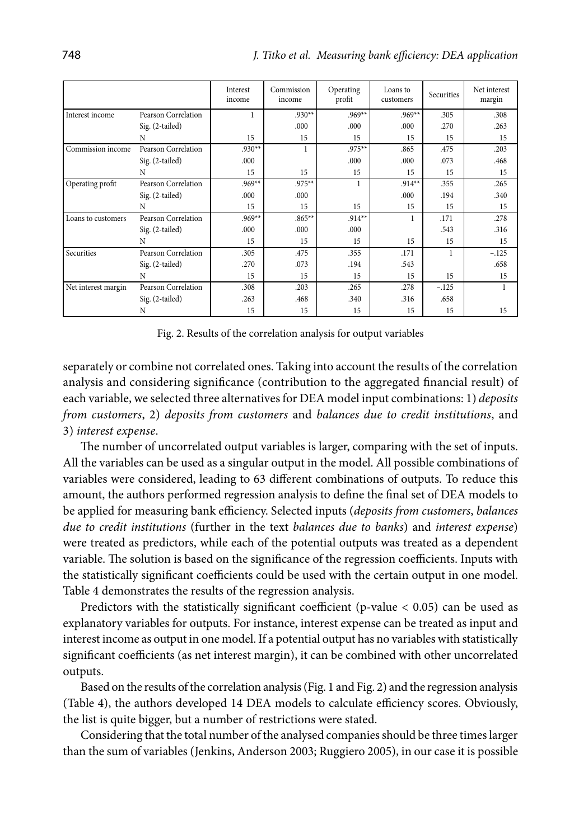|                     |                     | Interest<br>income | Commission<br>income | Operating<br>profit | Loans to<br>customers | Securities | Net interest<br>margin |
|---------------------|---------------------|--------------------|----------------------|---------------------|-----------------------|------------|------------------------|
| Interest income     | Pearson Correlation | 1                  | $.930**$             | $.969**$            | $.969**$              | .305       | .308                   |
|                     | Sig. (2-tailed)     |                    | .000                 | .000                | .000                  | .270       | .263                   |
|                     | N                   | 15                 | 15                   | 15                  | 15                    | 15         | 15                     |
| Commission income   | Pearson Correlation | $.930**$           | 1                    | $.975**$            | .865                  | .475       | .203                   |
|                     | Sig. (2-tailed)     | .000               |                      | .000                | .000                  | .073       | .468                   |
|                     | N                   | 15                 | 15                   | 15                  | 15                    | 15         | 15                     |
| Operating profit    | Pearson Correlation | $.969**$           | $.975***$            |                     | $.914**$              | .355       | .265                   |
|                     | Sig. (2-tailed)     | .000               | .000                 |                     | .000                  | .194       | .340                   |
|                     | N                   | 15                 | 15                   | 15                  | 15                    | 15         | 15                     |
| Loans to customers  | Pearson Correlation | $.969**$           | $.865**$             | $.914**$            | 1                     | .171       | .278                   |
|                     | Sig. (2-tailed)     | .000               | .000                 | .000                |                       | .543       | .316                   |
|                     | N                   | 15                 | 15                   | 15                  | 15                    | 15         | 15                     |
| Securities          | Pearson Correlation | .305               | .475                 | .355                | .171                  |            | $-.125$                |
|                     | Sig. (2-tailed)     | .270               | .073                 | .194                | .543                  |            | .658                   |
|                     | N                   | 15                 | 15                   | 15                  | 15                    | 15         | 15                     |
| Net interest margin | Pearson Correlation | .308               | .203                 | .265                | .278                  | $-.125$    |                        |
|                     | Sig. (2-tailed)     | .263               | .468                 | .340                | .316                  | .658       |                        |
|                     | N                   | 15                 | 15                   | 15                  | 15                    | 15         | 15                     |

Fig. 2. Results of the correlation analysis for output variables

separately or combine not correlated ones. Taking into account the results of the correlation analysis and considering significance (contribution to the aggregated financial result) of each variable, we selected three alternatives for DEA model input combinations: 1) *deposits from customers*, 2) *deposits from customers* and *balances due to credit institutions*, and 3) *interest expense*.

The number of uncorrelated output variables is larger, comparing with the set of inputs. All the variables can be used as a singular output in the model. All possible combinations of variables were considered, leading to 63 different combinations of outputs. To reduce this amount, the authors performed regression analysis to define the final set of DEA models to be applied for measuring bank efficiency. Selected inputs (*deposits from customers*, *balances due to credit institutions* (further in the text *balances due to banks*) and *interest expense*) were treated as predictors, while each of the potential outputs was treated as a dependent variable. The solution is based on the significance of the regression coefficients. Inputs with the statistically significant coefficients could be used with the certain output in one model. Table 4 demonstrates the results of the regression analysis.

Predictors with the statistically significant coefficient (p-value  $< 0.05$ ) can be used as explanatory variables for outputs. For instance, interest expense can be treated as input and interest income as output in one model. If a potential output has no variables with statistically significant coefficients (as net interest margin), it can be combined with other uncorrelated outputs.

Based on the results of the correlation analysis (Fig. 1 and Fig. 2) and the regression analysis (Table 4), the authors developed 14 DEA models to calculate efficiency scores. Obviously, the list is quite bigger, but a number of restrictions were stated.

Considering that the total number of the analysed companies should be three times larger than the sum of variables (Jenkins, Anderson 2003; Ruggiero 2005), in our case it is possible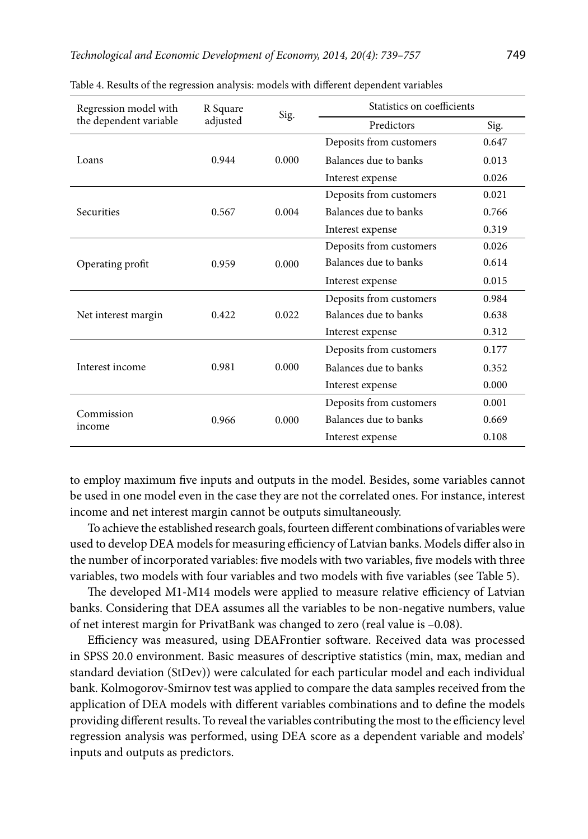| Regression model with  | R Square | Sig.  | Statistics on coefficients |       |
|------------------------|----------|-------|----------------------------|-------|
| the dependent variable | adjusted |       | Predictors                 | Sig.  |
|                        |          |       | Deposits from customers    | 0.647 |
| Loans                  | 0.944    | 0.000 | Balances due to banks      | 0.013 |
|                        |          |       | Interest expense           | 0.026 |
|                        |          |       | Deposits from customers    | 0.021 |
| Securities             | 0.567    | 0.004 | Balances due to banks      | 0.766 |
|                        |          |       | Interest expense           | 0.319 |
|                        |          |       | Deposits from customers    | 0.026 |
| Operating profit       | 0.959    | 0.000 | Balances due to banks      | 0.614 |
|                        |          |       | Interest expense           | 0.015 |
|                        |          |       | Deposits from customers    | 0.984 |
| Net interest margin    | 0.422    | 0.022 | Balances due to banks      | 0.638 |
|                        |          |       | Interest expense           | 0.312 |
|                        |          |       | Deposits from customers    | 0.177 |
| Interest income        | 0.981    | 0.000 | Balances due to banks      | 0.352 |
|                        |          |       | Interest expense           | 0.000 |
|                        |          |       | Deposits from customers    | 0.001 |
| Commission<br>income   | 0.966    | 0.000 | Balances due to banks      | 0.669 |
|                        |          |       | Interest expense           | 0.108 |

Table 4. Results of the regression analysis: models with different dependent variables

to employ maximum five inputs and outputs in the model. Besides, some variables cannot be used in one model even in the case they are not the correlated ones. For instance, interest income and net interest margin cannot be outputs simultaneously.

To achieve the established research goals, fourteen different combinations of variables were used to develop DEA models for measuring efficiency of Latvian banks. Models differ also in the number of incorporated variables: five models with two variables, five models with three variables, two models with four variables and two models with five variables (see Table 5).

The developed M1-M14 models were applied to measure relative efficiency of Latvian banks. Considering that DEA assumes all the variables to be non-negative numbers, value of net interest margin for PrivatBank was changed to zero (real value is –0.08).

Efficiency was measured, using DEAFrontier software. Received data was processed in SPSS 20.0 environment. Basic measures of descriptive statistics (min, max, median and standard deviation (StDev)) were calculated for each particular model and each individual bank. Kolmogorov-Smirnov test was applied to compare the data samples received from the application of DEA models with different variables combinations and to define the models providing different results. To reveal the variables contributing the most to the efficiency level regression analysis was performed, using DEA score as a dependent variable and models' inputs and outputs as predictors.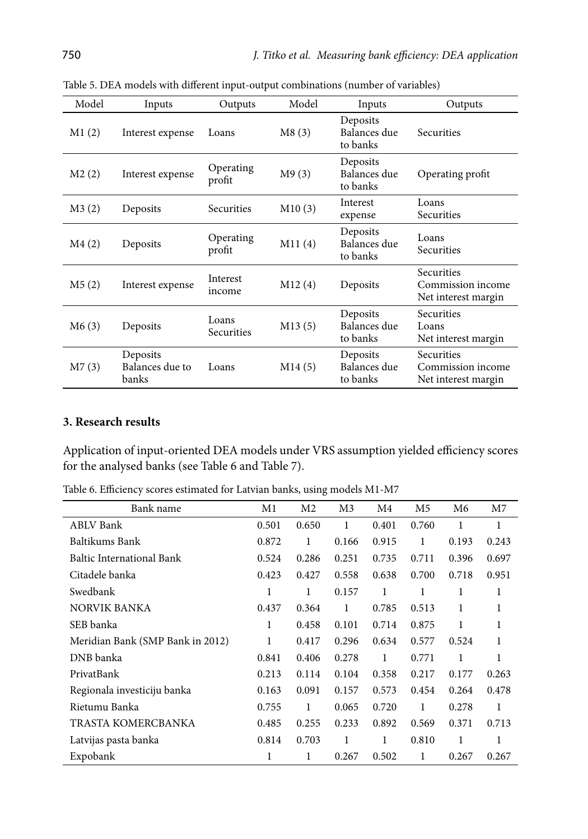| Model | Inputs                               | Outputs             | Model  | Inputs                               | Outputs                                                |
|-------|--------------------------------------|---------------------|--------|--------------------------------------|--------------------------------------------------------|
| M1(2) | Interest expense                     | Loans               | M8(3)  | Deposits<br>Balances due<br>to banks | Securities                                             |
| M2(2) | Interest expense                     | Operating<br>profit | M9(3)  | Deposits<br>Balances due<br>to banks | Operating profit                                       |
| M3(2) | Deposits                             | Securities          | M10(3) | Interest<br>expense                  | Loans<br>Securities                                    |
| M4(2) | Deposits                             | Operating<br>profit | M11(4) | Deposits<br>Balances due<br>to banks | Loans<br>Securities                                    |
| M5(2) | Interest expense                     | Interest<br>income  | M12(4) | Deposits                             | Securities<br>Commission income<br>Net interest margin |
| M6(3) | Deposits                             | Loans<br>Securities | M13(5) | Deposits<br>Balances due<br>to banks | Securities<br>Loans<br>Net interest margin             |
| M7(3) | Deposits<br>Balances due to<br>banks | Loans               | M14(5) | Deposits<br>Balances due<br>to banks | Securities<br>Commission income<br>Net interest margin |

Table 5. DEA models with different input-output combinations (number of variables)

## **3. Research results**

Application of input-oriented DEA models under VRS assumption yielded efficiency scores for the analysed banks (see Table 6 and Table 7).

| Bank name                        | M1    | M2    | M3    | M4    | M5    | M6    | M7    |
|----------------------------------|-------|-------|-------|-------|-------|-------|-------|
| <b>ABLV</b> Bank                 | 0.501 | 0.650 | 1     | 0.401 | 0.760 | 1     | 1     |
| Baltikums Bank                   | 0.872 | 1     | 0.166 | 0.915 | 1     | 0.193 | 0.243 |
| Baltic International Bank        | 0.524 | 0.286 | 0.251 | 0.735 | 0.711 | 0.396 | 0.697 |
| Citadele banka                   | 0.423 | 0.427 | 0.558 | 0.638 | 0.700 | 0.718 | 0.951 |
| Swedbank                         | 1     | 1     | 0.157 | 1     | 1     | 1     | 1     |
| NORVIK BANKA                     | 0.437 | 0.364 | 1     | 0.785 | 0.513 | 1     | 1     |
| SEB banka                        | 1     | 0.458 | 0.101 | 0.714 | 0.875 | 1     | 1     |
| Meridian Bank (SMP Bank in 2012) | 1     | 0.417 | 0.296 | 0.634 | 0.577 | 0.524 | 1     |
| DNB banka                        | 0.841 | 0.406 | 0.278 | 1     | 0.771 | 1     | 1     |
| PrivatBank                       | 0.213 | 0.114 | 0.104 | 0.358 | 0.217 | 0.177 | 0.263 |
| Regionala investiciju banka      | 0.163 | 0.091 | 0.157 | 0.573 | 0.454 | 0.264 | 0.478 |
| Rietumu Banka                    | 0.755 | 1     | 0.065 | 0.720 | 1     | 0.278 | 1     |
| TRASTA KOMERCBANKA               | 0.485 | 0.255 | 0.233 | 0.892 | 0.569 | 0.371 | 0.713 |
| Latvijas pasta banka             | 0.814 | 0.703 | 1     | 1     | 0.810 | 1     | 1     |
| Expobank                         | 1     | 1     | 0.267 | 0.502 | 1     | 0.267 | 0.267 |

Table 6. Efficiency scores estimated for Latvian banks, using models M1-M7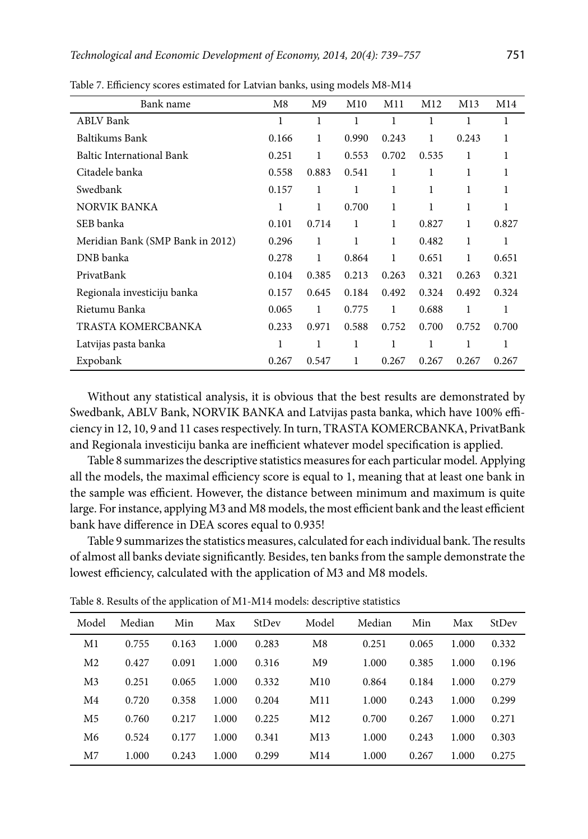| Bank name                        | M8    | M9    | M10   | M11   | M12   | M13   | M14   |
|----------------------------------|-------|-------|-------|-------|-------|-------|-------|
| <b>ABLV</b> Bank                 | 1     | 1     | 1     | 1     | 1     | 1     | 1     |
| Baltikums Bank                   | 0.166 | 1     | 0.990 | 0.243 | 1     | 0.243 | 1     |
| Baltic International Bank        | 0.251 | 1     | 0.553 | 0.702 | 0.535 | 1     | 1     |
| Citadele banka                   | 0.558 | 0.883 | 0.541 | 1     | 1     | 1     | 1     |
| Swedbank                         | 0.157 | 1     | 1     | 1     | 1     | 1     | 1     |
| NORVIK BANKA                     | 1     | 1     | 0.700 | 1     | 1     | 1     | 1     |
| SEB banka                        | 0.101 | 0.714 | 1     | 1     | 0.827 | 1     | 0.827 |
| Meridian Bank (SMP Bank in 2012) | 0.296 | 1     | 1     | 1     | 0.482 | 1     | 1     |
| DNB banka                        | 0.278 | 1     | 0.864 | 1     | 0.651 | 1     | 0.651 |
| PrivatBank                       | 0.104 | 0.385 | 0.213 | 0.263 | 0.321 | 0.263 | 0.321 |
| Regionala investiciju banka      | 0.157 | 0.645 | 0.184 | 0.492 | 0.324 | 0.492 | 0.324 |
| Rietumu Banka                    | 0.065 | 1     | 0.775 | 1     | 0.688 | 1     | 1     |
| TRASTA KOMERCBANKA               | 0.233 | 0.971 | 0.588 | 0.752 | 0.700 | 0.752 | 0.700 |
| Latvijas pasta banka             | 1     | 1     | 1     | 1     | 1     | 1     | 1     |
| Expobank                         | 0.267 | 0.547 | 1     | 0.267 | 0.267 | 0.267 | 0.267 |

Table 7. Efficiency scores estimated for Latvian banks, using models M8-M14

Without any statistical analysis, it is obvious that the best results are demonstrated by Swedbank, ABLV Bank, NORVIK BANKA and Latvijas pasta banka, which have 100% efficiency in 12, 10, 9 and 11 cases respectively. In turn, TRASTA KOMERCBANKA, PrivatBank and Regionala investiciju banka are inefficient whatever model specification is applied.

Table 8 summarizes the descriptive statistics measures for each particular model. Applying all the models, the maximal efficiency score is equal to 1, meaning that at least one bank in the sample was efficient. However, the distance between minimum and maximum is quite large. For instance, applying M3 and M8 models, the most efficient bank and the least efficient bank have difference in DEA scores equal to 0.935!

Table 9 summarizes the statistics measures, calculated for each individual bank. The results of almost all banks deviate significantly. Besides, ten banks from the sample demonstrate the lowest efficiency, calculated with the application of M3 and M8 models.

| Model          | Median | Min   | Max   | StDev | Model           | Median | Min   | Max   | StDev |
|----------------|--------|-------|-------|-------|-----------------|--------|-------|-------|-------|
| M1             | 0.755  | 0.163 | 1.000 | 0.283 | M8              | 0.251  | 0.065 | 1.000 | 0.332 |
| M2             | 0.427  | 0.091 | 1.000 | 0.316 | M <sub>9</sub>  | 1.000  | 0.385 | 1.000 | 0.196 |
| M3             | 0.251  | 0.065 | 1.000 | 0.332 | M <sub>10</sub> | 0.864  | 0.184 | 1.000 | 0.279 |
| M4             | 0.720  | 0.358 | 1.000 | 0.204 | M11             | 1.000  | 0.243 | 1.000 | 0.299 |
| M <sub>5</sub> | 0.760  | 0.217 | 1.000 | 0.225 | M12             | 0.700  | 0.267 | 1.000 | 0.271 |
| M6             | 0.524  | 0.177 | 1.000 | 0.341 | M13             | 1.000  | 0.243 | 1.000 | 0.303 |
| M7             | 1.000  | 0.243 | 1.000 | 0.299 | M14             | 1.000  | 0.267 | 1.000 | 0.275 |

Table 8. Results of the application of M1-M14 models: descriptive statistics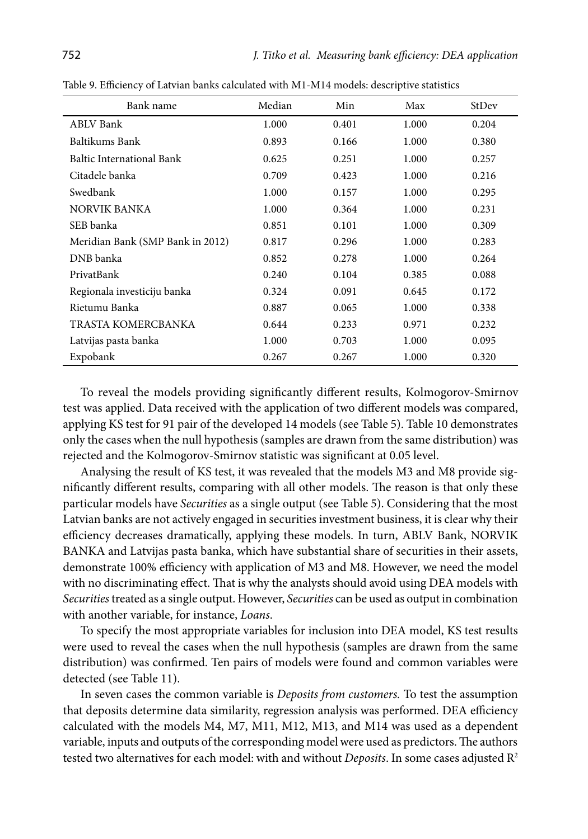| Bank name                        | Median | Min   | Max   | StDev |
|----------------------------------|--------|-------|-------|-------|
| ABLV Bank                        | 1.000  | 0.401 | 1.000 | 0.204 |
| Baltikums Bank                   | 0.893  | 0.166 | 1.000 | 0.380 |
| Baltic International Bank        | 0.625  | 0.251 | 1.000 | 0.257 |
| Citadele banka                   | 0.709  | 0.423 | 1.000 | 0.216 |
| Swedbank                         | 1.000  | 0.157 | 1.000 | 0.295 |
| NORVIK BANKA                     | 1.000  | 0.364 | 1.000 | 0.231 |
| SEB banka                        | 0.851  | 0.101 | 1.000 | 0.309 |
| Meridian Bank (SMP Bank in 2012) | 0.817  | 0.296 | 1.000 | 0.283 |
| DNB banka                        | 0.852  | 0.278 | 1.000 | 0.264 |
| PrivatBank                       | 0.240  | 0.104 | 0.385 | 0.088 |
| Regionala investiciju banka      | 0.324  | 0.091 | 0.645 | 0.172 |
| Rietumu Banka                    | 0.887  | 0.065 | 1.000 | 0.338 |
| TRASTA KOMERCBANKA               | 0.644  | 0.233 | 0.971 | 0.232 |
| Latvijas pasta banka             | 1.000  | 0.703 | 1.000 | 0.095 |
| Expobank                         | 0.267  | 0.267 | 1.000 | 0.320 |

Table 9. Efficiency of Latvian banks calculated with M1-M14 models: descriptive statistics

To reveal the models providing significantly different results, Kolmogorov-Smirnov test was applied. Data received with the application of two different models was compared, applying KS test for 91 pair of the developed 14 models (see Table 5). Table 10 demonstrates only the cases when the null hypothesis (samples are drawn from the same distribution) was rejected and the Kolmogorov-Smirnov statistic was significant at 0.05 level.

Analysing the result of KS test, it was revealed that the models M3 and M8 provide significantly different results, comparing with all other models. The reason is that only these particular models have *Securities* as a single output (see Table 5). Considering that the most Latvian banks are not actively engaged in securities investment business, it is clear why their efficiency decreases dramatically, applying these models. In turn, ABLV Bank, NORVIK BANKA and Latvijas pasta banka, which have substantial share of securities in their assets, demonstrate 100% efficiency with application of M3 and M8. However, we need the model with no discriminating effect. That is why the analysts should avoid using DEA models with *Securities* treated as a single output. However, *Securities* can be used as output in combination with another variable, for instance, *Loans*.

To specify the most appropriate variables for inclusion into DEA model, KS test results were used to reveal the cases when the null hypothesis (samples are drawn from the same distribution) was confirmed. Ten pairs of models were found and common variables were detected (see Table 11).

In seven cases the common variable is *Deposits from customers.* To test the assumption that deposits determine data similarity, regression analysis was performed. DEA efficiency calculated with the models M4, M7, M11, M12, M13, and M14 was used as a dependent variable, inputs and outputs of the corresponding model were used as predictors. The authors tested two alternatives for each model: with and without *Deposits*. In some cases adjusted R2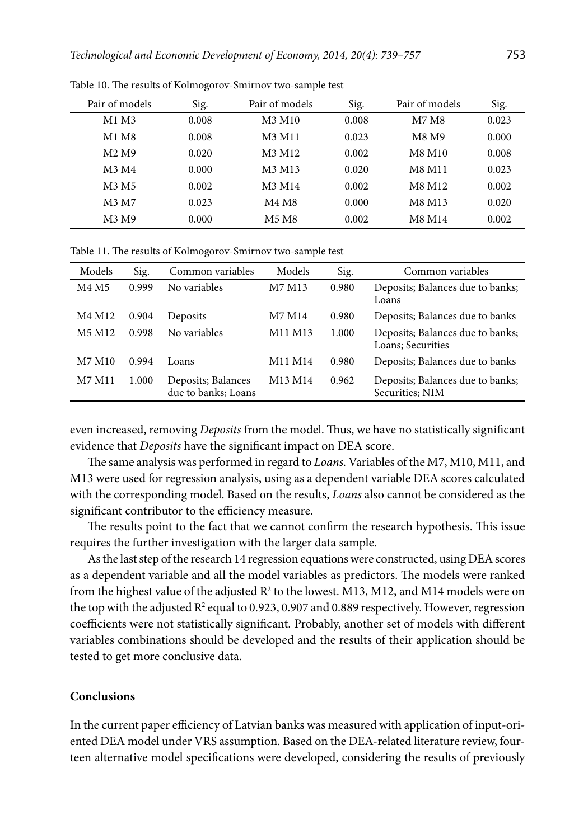| Pair of models                | Sig.  | Pair of models | Sig.  | Pair of models | Sig.  |
|-------------------------------|-------|----------------|-------|----------------|-------|
| M1 M3                         | 0.008 | M3 M10         | 0.008 | M7 M8          | 0.023 |
| M1 M8                         | 0.008 | M3 M11         | 0.023 | M8 M9          | 0.000 |
| M <sub>2</sub> M <sub>9</sub> | 0.020 | M3 M12         | 0.002 | M8 M10         | 0.008 |
| M3 M4                         | 0.000 | M3 M13         | 0.020 | <b>M8 M11</b>  | 0.023 |
| M3 M5                         | 0.002 | M3 M14         | 0.002 | M8 M12         | 0.002 |
| M3 M7                         | 0.023 | M4 M8          | 0.000 | M8 M13         | 0.020 |
| M3 M9                         | 0.000 | M5 M8          | 0.002 | M8 M14         | 0.002 |

Table 10. The results of Kolmogorov-Smirnov two-sample test

Table 11. The results of Kolmogorov-Smirnov two-sample test

| Models                         | Sig.  | Common variables                          | Models                          | Sig.  | Common variables                                      |
|--------------------------------|-------|-------------------------------------------|---------------------------------|-------|-------------------------------------------------------|
| M4 M5                          | 0.999 | No variables                              | M7 M13                          | 0.980 | Deposits; Balances due to banks;<br>Loans             |
| M4 M12                         | 0.904 | Deposits                                  | M7 M14                          | 0.980 | Deposits; Balances due to banks                       |
| M <sub>5</sub> M <sub>12</sub> | 0.998 | No variables                              | M <sub>11</sub> M <sub>13</sub> | 1.000 | Deposits; Balances due to banks;<br>Loans; Securities |
| M7 M10                         | 0.994 | Loans                                     | M <sub>11</sub> M <sub>14</sub> | 0.980 | Deposits; Balances due to banks                       |
| M7 M11                         | 1.000 | Deposits; Balances<br>due to banks; Loans | M <sub>13</sub> M <sub>14</sub> | 0.962 | Deposits; Balances due to banks;<br>Securities; NIM   |

even increased, removing *Deposits* from the model. Thus, we have no statistically significant evidence that *Deposits* have the significant impact on DEA score.

The same analysis was performed in regard to *Loans.* Variables of the M7, M10, M11, and M13 were used for regression analysis, using as a dependent variable DEA scores calculated with the corresponding model. Based on the results, *Loans* also cannot be considered as the significant contributor to the efficiency measure.

The results point to the fact that we cannot confirm the research hypothesis. This issue requires the further investigation with the larger data sample.

As the last step of the research 14 regression equations were constructed, using DEA scores as a dependent variable and all the model variables as predictors. The models were ranked from the highest value of the adjusted  $R^2$  to the lowest. M13, M12, and M14 models were on the top with the adjusted  $R^2$  equal to 0.923, 0.907 and 0.889 respectively. However, regression coefficients were not statistically significant. Probably, another set of models with different variables combinations should be developed and the results of their application should be tested to get more conclusive data.

#### **Conclusions**

In the current paper efficiency of Latvian banks was measured with application of input-oriented DEA model under VRS assumption. Based on the DEA-related literature review, fourteen alternative model specifications were developed, considering the results of previously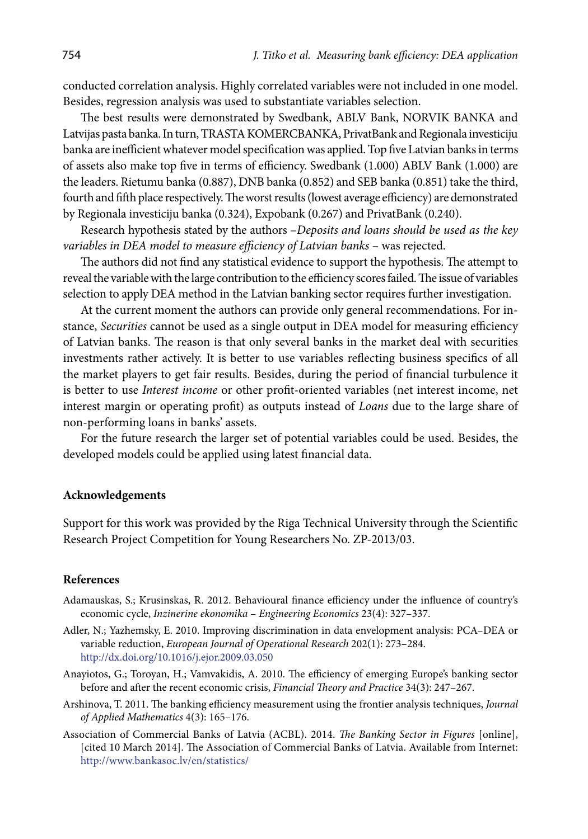conducted correlation analysis. Highly correlated variables were not included in one model. Besides, regression analysis was used to substantiate variables selection.

The best results were demonstrated by Swedbank, ABLV Bank, NORVIK BANKA and Latvijas pasta banka. In turn, TRASTA KOMERCBANKA, PrivatBank and Regionala investiciju banka are inefficient whatever model specification was applied. Top five Latvian banks in terms of assets also make top five in terms of efficiency. Swedbank (1.000) ABLV Bank (1.000) are the leaders. Rietumu banka (0.887), DNB banka (0.852) and SEB banka (0.851) take the third, fourth and fifth place respectively. The worst results (lowest average efficiency) are demonstrated by Regionala investiciju banka (0.324), Expobank (0.267) and PrivatBank (0.240).

Research hypothesis stated by the authors –*Deposits and loans should be used as the key variables in DEA model to measure efficiency of Latvian banks - was rejected.* 

The authors did not find any statistical evidence to support the hypothesis. The attempt to reveal the variable with the large contribution to the efficiency scores failed. The issue of variables selection to apply DEA method in the Latvian banking sector requires further investigation.

At the current moment the authors can provide only general recommendations. For instance, *Securities* cannot be used as a single output in DEA model for measuring efficiency of Latvian banks. The reason is that only several banks in the market deal with securities investments rather actively. It is better to use variables reflecting business specifics of all the market players to get fair results. Besides, during the period of financial turbulence it is better to use *Interest income* or other profit-oriented variables (net interest income, net interest margin or operating profit) as outputs instead of *Loans* due to the large share of non-performing loans in banks' assets.

For the future research the larger set of potential variables could be used. Besides, the developed models could be applied using latest financial data.

## **Acknowledgements**

Support for this work was provided by the Riga Technical University through the Scientific Research Project Competition for Young Researchers No. ZP-2013/03.

## **References**

- Adamauskas, S.; Krusinskas, R. 2012. Behavioural finance efficiency under the influence of country's economic cycle, *Inzinerine ekonomika* – *Engineering Economics* 23(4): 327–337.
- Adler, N.; Yazhemsky, E. 2010. Improving discrimination in data envelopment analysis: PCA–DEA or variable reduction, *European Journal of Operational Research* 202(1): 273–284. <http://dx.doi.org/10.1016/j.ejor.2009.03.050>
- Anayiotos, G.; Toroyan, H.; Vamvakidis, A. 2010. The efficiency of emerging Europe's banking sector before and after the recent economic crisis, *Financial Theory and Practice* 34(3): 247–267.
- Arshinova, T. 2011. The banking efficiency measurement using the frontier analysis techniques, *Journal of Applied Mathematics* 4(3): 165–176.
- Association of Commercial Banks of Latvia (ACBL). 2014. *The Banking Sector in Figures* [online], [cited 10 March 2014]. The Association of Commercial Banks of Latvia. Available from Internet: <http://www.bankasoc.lv/en/statistics/>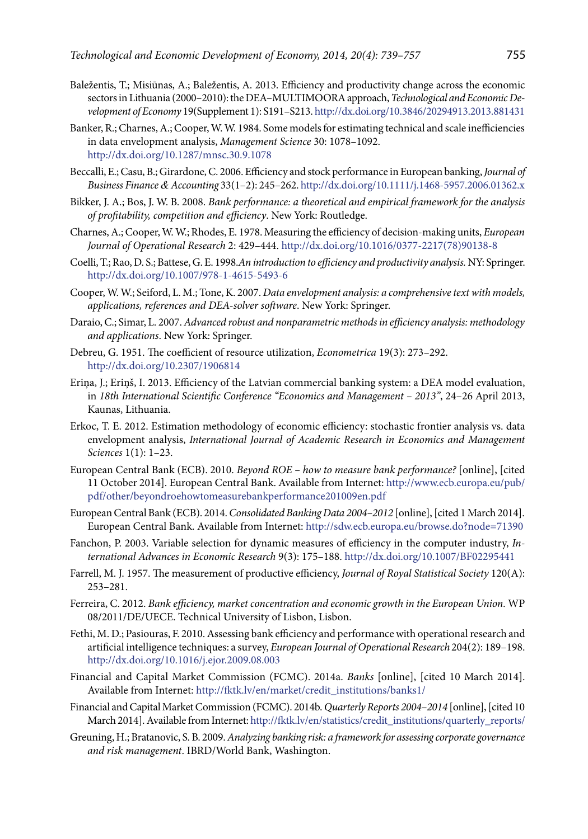- Baležentis, T.; Misiūnas, A.; Baležentis, A. 2013. Efficiency and productivity change across the economic sectors in Lithuania (2000–2010): the DEA–MULTIMOORA approach, *Technological and Economic Development of Economy* 19(Supplement 1): S191–S213.<http://dx.doi.org/10.3846/20294913.2013.881431>
- Banker, R.; Charnes, A.; Cooper, W. W. 1984. Some models for estimating technical and scale inefficiencies in data envelopment analysis, *Management Science* 30: 1078–1092. <http://dx.doi.org/10.1287/mnsc.30.9.1078>
- Beccalli, E.; Casu, B.; Girardone, C. 2006. Efficiency and stock performance in European banking, *Journal of Business Finance & Accounting* 33(1–2): 245–262.<http://dx.doi.org/10.1111/j.1468-5957.2006.01362.x>
- Bikker, J. A.; Bos, J. W. B. 2008. *Bank performance: a theoretical and empirical framework for the analysis of profitability, competition and efficiency*. New York: Routledge.
- Charnes, A.; Cooper, W. W.; Rhodes, E. 1978. Measuring the efficiency of decision-making units, *European Journal of Operational Research* 2: 429–444. [http://dx.doi.org/10.1016/0377-2217\(78\)90138-8](http://dx.doi.org/10.1016/0377-2217(78)90138-8)
- Coelli, T.; Rao, D. S.; Battese, G. E. 1998.*An introduction to efficiency and productivity analysis.* NY: Springer. <http://dx.doi.org/10.1007/978-1-4615-5493-6>
- Cooper, W. W.; Seiford, L. M.; Tone, K. 2007. *Data envelopment analysis: a comprehensive text with models, applications, references and DEA-solver software*. New York: Springer.
- Daraio, C.; Simar, L. 2007. *Advanced robust and nonparametric methods in efficiency analysis: methodology and applications*. New York: Springer.
- Debreu, G. 1951. The coefficient of resource utilization, *Econometrica* 19(3): 273–292. <http://dx.doi.org/10.2307/1906814>
- Eriņa, J.; Eriņš, I. 2013. Efficiency of the Latvian commercial banking system: a DEA model evaluation, in *18th International Scientific Conference "Economics and Management – 2013"*, 24–26 April 2013, Kaunas, Lithuania.
- Erkoc, T. E. 2012. Estimation methodology of economic efficiency: stochastic frontier analysis vs. data envelopment analysis, *International Journal of Academic Research in Economics and Management Sciences* 1(1): 1–23.
- European Central Bank (ECB). 2010. *Beyond ROE how to measure bank performance?* [online], [cited 11 October 2014]. European Central Bank. Available from Internet: [http://www.ecb.europa.eu/pub/](http://www.ecb.europa.eu/pub/pdf/other/beyondroehowtomeasurebankperformance201009en.pdf) [pdf/other/beyondroehowtomeasurebankperformance201009en.pdf](http://www.ecb.europa.eu/pub/pdf/other/beyondroehowtomeasurebankperformance201009en.pdf)
- European Central Bank (ECB). 2014. *Consolidated Banking Data 2004–2012* [online], [cited 1 March 2014]. European Central Bank. Available from Internet: <http://sdw.ecb.europa.eu/browse.do?node=71390>
- Fanchon, P. 2003. Variable selection for dynamic measures of efficiency in the computer industry, *International Advances in Economic Research* 9(3): 175–188.<http://dx.doi.org/10.1007/BF02295441>
- Farrell, M. J. 1957. The measurement of productive efficiency, *Journal of Royal Statistical Society* 120(A): 253–281.
- Ferreira, C. 2012. *Bank efficiency, market concentration and economic growth in the European Union.* WP 08/2011/DE/UECE. Technical University of Lisbon, Lisbon.
- Fethi, M. D.; Pasiouras, F. 2010. Assessing bank efficiency and performance with operational research and artificial intelligence techniques: a survey, *European Journal of Operational Research* 204(2): 189–198. <http://dx.doi.org/10.1016/j.ejor.2009.08.003>
- Financial and Capital Market Commission (FCMC). 2014a. *Banks* [online], [cited 10 March 2014]. Available from Internet: [http://fktk.lv/en/market/credit\\_institutions/banks1/](http://fktk.lv/en/market/credit_institutions/banks1/)
- Financial and Capital Market Commission (FCMC). 2014b. *Quarterly Reports 2004–2014* [online], [cited 10 March 2014]. Available from Internet: [http://fktk.lv/en/statistics/credit\\_institutions/quarterly\\_reports/](http://fktk.lv/en/statistics/credit_institutions/quarterly_reports/)
- Greuning, H.; Bratanovic, S. B. 2009. *Analyzing banking risk: a framework for assessing corporate governance and risk management*. IBRD/World Bank, Washington.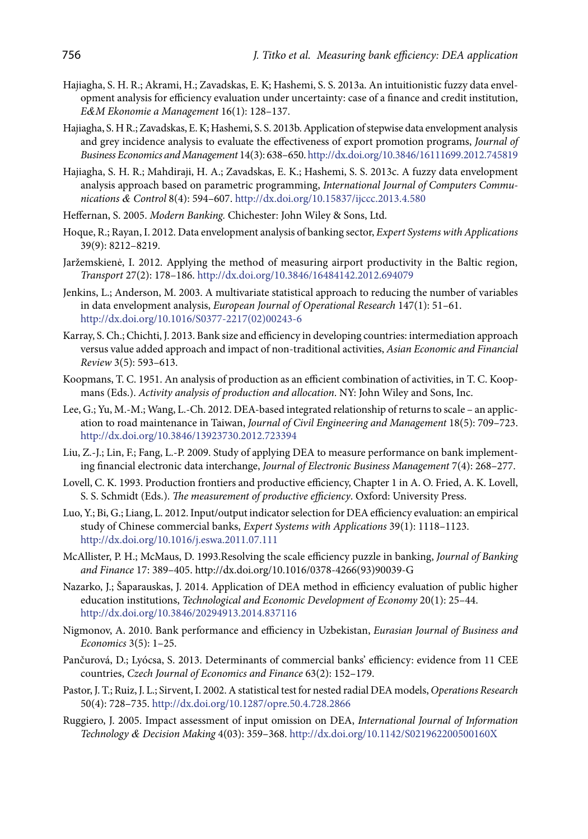- Hajiagha, S. H. R.; Akrami, H.; Zavadskas, E. K; Hashemi, S. S. 2013a. An intuitionistic fuzzy data envelopment analysis for efficiency evaluation under uncertainty: case of a finance and credit institution, *E&M Ekonomie a Management* 16(1): 128–137.
- Hajiagha, S. H R.; Zavadskas, E. K; Hashemi, S. S. 2013b. Application of stepwise data envelopment analysis and grey incidence analysis to evaluate the effectiveness of export promotion programs, *Journal of Business Economics and Management* 14(3): 638–650.<http://dx.doi.org/10.3846/16111699.2012.745819>
- Hajiagha, S. H. R.; Mahdiraji, H. A.; Zavadskas, E. K.; Hashemi, S. S. 2013c. A fuzzy data envelopment analysis approach based on parametric programming, *International Journal of Computers Communications & Control* 8(4): 594–607.<http://dx.doi.org/10.15837/ijccc.2013.4.580>
- Heffernan, S. 2005. *Modern Banking.* Chichester: John Wiley & Sons, Ltd.
- Hoque, R.; Rayan, I. 2012. Data envelopment analysis of banking sector, *Expert Systems with Applications*  39(9): 8212–8219.
- Jaržemskienė, I. 2012. Applying the method of measuring airport productivity in the Baltic region, *Transport* 27(2): 178–186. <http://dx.doi.org/10.3846/16484142.2012.694079>
- Jenkins, L.; Anderson, M. 2003. A multivariate statistical approach to reducing the number of variables in data envelopment analysis, *European Journal of Operational Research* 147(1): 51–61. [http://dx.doi.org/10.1016/S0377-2217\(02\)00243-6](http://dx.doi.org/10.1016/S0377-2217(02)00243-6)
- Karray, S. Ch.; Chichti, J. 2013. Bank size and efficiency in developing countries: intermediation approach versus value added approach and impact of non-traditional activities, *Asian Economic and Financial Review* 3(5): 593–613.
- Koopmans, T. C. 1951. An analysis of production as an efficient combination of activities, in T. C. Koopmans (Eds.). *Activity analysis of production and allocation*. NY: John Wiley and Sons, Inc.
- Lee, G.; Yu, M.-M.; Wang, L.-Ch. 2012. DEA-based integrated relationship of returns to scale an application to road maintenance in Taiwan, *Journal of Civil Engineering and Management* 18(5): 709–723. <http://dx.doi.org/10.3846/13923730.2012.723394>
- Liu, Z.-J.; Lin, F.; Fang, L.-P. 2009. Study of applying DEA to measure performance on bank implementing financial electronic data interchange, *Journal of Electronic Business Management* 7(4): 268–277.
- Lovell, C. K. 1993. Production frontiers and productive efficiency, Chapter 1 in A. O. Fried, A. K. Lovell, S. S. Schmidt (Eds.). *The measurement of productive efficiency*. Oxford: University Press.
- Luo, Y.; Bi, G.; Liang, L. 2012. Input/output indicator selection for DEA efficiency evaluation: an empirical study of Chinese commercial banks, *Expert Systems with Applications* 39(1): 1118–1123. <http://dx.doi.org/10.1016/j.eswa.2011.07.111>
- McAllister, P. H.; McMaus, D. 1993.Resolving the scale efficiency puzzle in banking, *Journal of Banking and Finance* 17: 389–405. [http://dx.doi.org/10.1016/0378-4266\(93\)90039-G](http://dx.doi.org/10.1016/0378-4266(93)90039-G)
- Nazarko, J.; Šaparauskas, J. 2014. Application of DEA method in efficiency evaluation of public higher education institutions, *Technological and Economic Development of Economy* 20(1): 25–44. <http://dx.doi.org/10.3846/20294913.2014.837116>
- Nigmonov, A. 2010. Bank performance and efficiency in Uzbekistan, *Eurasian Journal of Business and Economics* 3(5): 1–25.
- Pančurová, D.; Lyócsa, S. 2013. Determinants of commercial banks' efficiency: evidence from 11 CEE countries, *Czech Journal of Economics and Finance* 63(2): 152–179.
- Pastor, J. T.; Ruiz, J. L.; Sirvent, I. 2002. A statistical test for nested radial DEA models, *Operations Research*  50(4): 728–735.<http://dx.doi.org/10.1287/opre.50.4.728.2866>
- Ruggiero, J. 2005. Impact assessment of input omission on DEA, *International Journal of Information Technology & Decision Making* 4(03): 359–368. <http://dx.doi.org/10.1142/S021962200500160X>